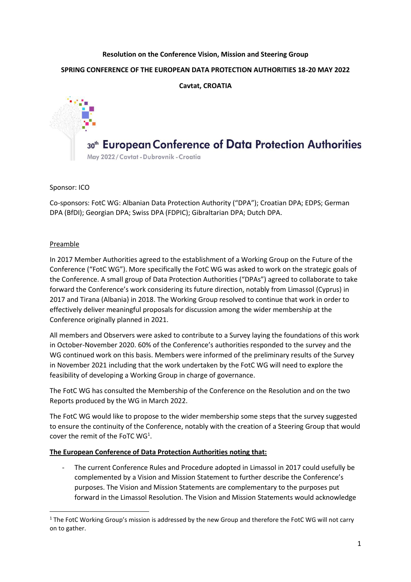# **Resolution on the Conference Vision, Mission and Steering Group SPRING CONFERENCE OF THE EUROPEAN DATA PROTECTION AUTHORITIES 18-20 MAY 2022 Cavtat, CROATIA**

# 30<sup>th</sup> European Conference of Data Protection Authorities

May 2022/Cavtat - Dubrovnik - Croatia

# Sponsor: ICO

Co-sponsors: FotC WG: Albanian Data Protection Authority ("DPA"); Croatian DPA; EDPS; German DPA (BfDI); Georgian DPA; Swiss DPA (FDPIC); Gibraltarian DPA; Dutch DPA.

# Preamble

In 2017 Member Authorities agreed to the establishment of a Working Group on the Future of the Conference ("FotC WG"). More specifically the FotC WG was asked to work on the strategic goals of the Conference. A small group of Data Protection Authorities ("DPAs") agreed to collaborate to take forward the Conference's work considering its future direction, notably from Limassol (Cyprus) in 2017 and Tirana (Albania) in 2018. The Working Group resolved to continue that work in order to effectively deliver meaningful proposals for discussion among the wider membership at the Conference originally planned in 2021.

All members and Observers were asked to contribute to a Survey laying the foundations of this work in October-November 2020. 60% of the Conference's authorities responded to the survey and the WG continued work on this basis. Members were informed of the preliminary results of the Survey in November 2021 including that the work undertaken by the FotC WG will need to explore the feasibility of developing a Working Group in charge of governance.

The FotC WG has consulted the Membership of the Conference on the Resolution and on the two Reports produced by the WG in March 2022.

The FotC WG would like to propose to the wider membership some steps that the survey suggested to ensure the continuity of the Conference, notably with the creation of a Steering Group that would cover the remit of the FoTC  $WG<sup>1</sup>$ .

## **The European Conference of Data Protection Authorities noting that:**

The current Conference Rules and Procedure adopted in Limassol in 2017 could usefully be complemented by a Vision and Mission Statement to further describe the Conference's purposes. The Vision and Mission Statements are complementary to the purposes put forward in the Limassol Resolution. The Vision and Mission Statements would acknowledge

 $1$  The FotC Working Group's mission is addressed by the new Group and therefore the FotC WG will not carry on to gather.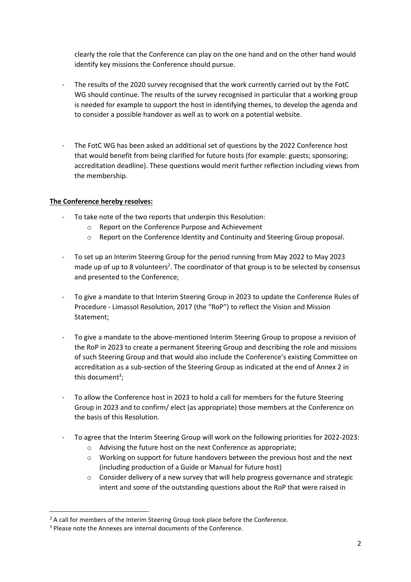clearly the role that the Conference can play on the one hand and on the other hand would identify key missions the Conference should pursue.

- The results of the 2020 survey recognised that the work currently carried out by the FotC WG should continue. The results of the survey recognised in particular that a working group is needed for example to support the host in identifying themes, to develop the agenda and to consider a possible handover as well as to work on a potential website.
- The FotC WG has been asked an additional set of questions by the 2022 Conference host that would benefit from being clarified for future hosts (for example: guests; sponsoring; accreditation deadline). These questions would merit further reflection including views from the membership.

## **The Conference hereby resolves:**

- To take note of the two reports that underpin this Resolution:
	- o Report on the Conference Purpose and Achievement
	- o Report on the Conference Identity and Continuity and Steering Group proposal.
- To set up an Interim Steering Group for the period running from May 2022 to May 2023 made up of up to 8 volunteers<sup>2</sup>. The coordinator of that group is to be selected by consensus and presented to the Conference;
- To give a mandate to that Interim Steering Group in 2023 to update the Conference Rules of Procedure - Limassol Resolution, 2017 (the "RoP") to reflect the Vision and Mission Statement;
- To give a mandate to the above-mentioned Interim Steering Group to propose a revision of the RoP in 2023 to create a permanent Steering Group and describing the role and missions of such Steering Group and that would also include the Conference's existing Committee on accreditation as a sub-section of the Steering Group as indicated at the end of Annex 2 in this document<sup>3</sup>;
- To allow the Conference host in 2023 to hold a call for members for the future Steering Group in 2023 and to confirm/ elect (as appropriate) those members at the Conference on the basis of this Resolution.
- To agree that the Interim Steering Group will work on the following priorities for 2022-2023:
	- o Advising the future host on the next Conference as appropriate;
	- o Working on support for future handovers between the previous host and the next (including production of a Guide or Manual for future host)
	- $\circ$  Consider delivery of a new survey that will help progress governance and strategic intent and some of the outstanding questions about the RoP that were raised in

 $<sup>2</sup>$  A call for members of the Interim Steering Group took place before the Conference.</sup>

<sup>&</sup>lt;sup>3</sup> Please note the Annexes are internal documents of the Conference.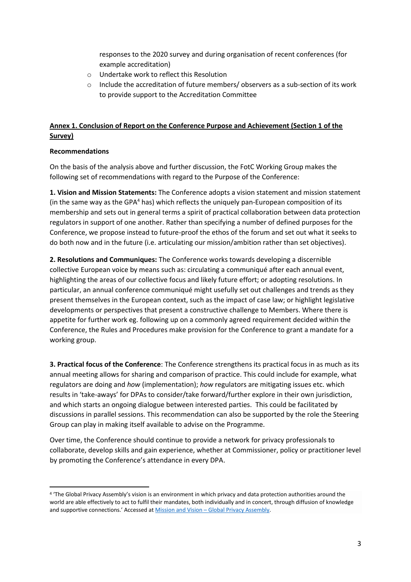responses to the 2020 survey and during organisation of recent conferences (for example accreditation)

- o Undertake work to reflect this Resolution
- $\circ$  Include the accreditation of future members/ observers as a sub-section of its work to provide support to the Accreditation Committee

# **Annex 1. Conclusion of Report on the Conference Purpose and Achievement (Section 1 of the Survey)**

#### **Recommendations**

On the basis of the analysis above and further discussion, the FotC Working Group makes the following set of recommendations with regard to the Purpose of the Conference:

**1. Vision and Mission Statements:** The Conference adopts a vision statement and mission statement (in the same way as the GPA $4$  has) which reflects the uniquely pan-European composition of its membership and sets out in general terms a spirit of practical collaboration between data protection regulators in support of one another. Rather than specifying a number of defined purposes for the Conference, we propose instead to future-proof the ethos of the forum and set out what it seeks to do both now and in the future (i.e. articulating our mission/ambition rather than set objectives).

**2. Resolutions and Communiques:** The Conference works towards developing a discernible collective European voice by means such as: circulating a communiqué after each annual event, highlighting the areas of our collective focus and likely future effort; or adopting resolutions. In particular, an annual conference communiqué might usefully set out challenges and trends as they present themselves in the European context, such as the impact of case law; or highlight legislative developments or perspectives that present a constructive challenge to Members. Where there is appetite for further work eg. following up on a commonly agreed requirement decided within the Conference, the Rules and Procedures make provision for the Conference to grant a mandate for a working group.

**3. Practical focus of the Conference**: The Conference strengthens its practical focus in as much as its annual meeting allows for sharing and comparison of practice. This could include for example, what regulators are doing and *how* (implementation); *how* regulators are mitigating issues etc. which results in 'take-aways' for DPAs to consider/take forward/further explore in their own jurisdiction, and which starts an ongoing dialogue between interested parties. This could be facilitated by discussions in parallel sessions. This recommendation can also be supported by the role the Steering Group can play in making itself available to advise on the Programme.

Over time, the Conference should continue to provide a network for privacy professionals to collaborate, develop skills and gain experience, whether at Commissioner, policy or practitioner level by promoting the Conference's attendance in every DPA.

<sup>4</sup> 'The Global Privacy Assembly's vision is an environment in which privacy and data protection authorities around the world are able effectively to act to fulfil their mandates, both individually and in concert, through diffusion of knowledge and supportive connections.' Accessed at Mission and Vision – [Global Privacy Assembly.](https://globalprivacyassembly.org/the-assembly-and-executive-committee/strategic-direction-mission-and-vision/)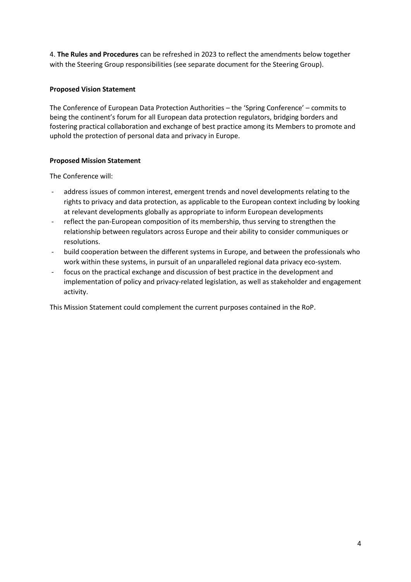4. **The Rules and Procedures** can be refreshed in 2023 to reflect the amendments below together with the Steering Group responsibilities (see separate document for the Steering Group).

#### **Proposed Vision Statement**

The Conference of European Data Protection Authorities – the 'Spring Conference' – commits to being the continent's forum for all European data protection regulators, bridging borders and fostering practical collaboration and exchange of best practice among its Members to promote and uphold the protection of personal data and privacy in Europe.

#### **Proposed Mission Statement**

The Conference will:

- address issues of common interest, emergent trends and novel developments relating to the rights to privacy and data protection, as applicable to the European context including by looking at relevant developments globally as appropriate to inform European developments
- reflect the pan-European composition of its membership, thus serving to strengthen the relationship between regulators across Europe and their ability to consider communiques or resolutions.
- build cooperation between the different systems in Europe, and between the professionals who work within these systems, in pursuit of an unparalleled regional data privacy eco-system.
- focus on the practical exchange and discussion of best practice in the development and implementation of policy and privacy-related legislation, as well as stakeholder and engagement activity.

This Mission Statement could complement the current purposes contained in the RoP.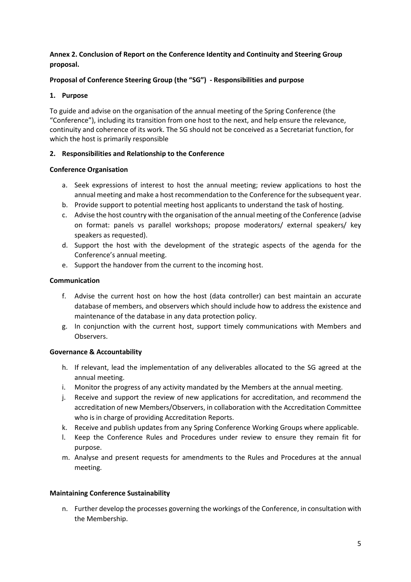## **Annex 2. Conclusion of Report on the Conference Identity and Continuity and Steering Group proposal.**

# **Proposal of Conference Steering Group (the "SG") - Responsibilities and purpose**

# **1. Purpose**

To guide and advise on the organisation of the annual meeting of the Spring Conference (the "Conference"), including its transition from one host to the next, and help ensure the relevance, continuity and coherence of its work. The SG should not be conceived as a Secretariat function, for which the host is primarily responsible

# **2. Responsibilities and Relationship to the Conference**

## **Conference Organisation**

- a. Seek expressions of interest to host the annual meeting; review applications to host the annual meeting and make a host recommendation to the Conference for the subsequent year.
- b. Provide support to potential meeting host applicants to understand the task of hosting.
- c. Advise the host country with the organisation of the annual meeting of the Conference (advise on format: panels vs parallel workshops; propose moderators/ external speakers/ key speakers as requested).
- d. Support the host with the development of the strategic aspects of the agenda for the Conference's annual meeting.
- e. Support the handover from the current to the incoming host.

# **Communication**

- f. Advise the current host on how the host (data controller) can best maintain an accurate database of members, and observers which should include how to address the existence and maintenance of the database in any data protection policy.
- g. In conjunction with the current host, support timely communications with Members and Observers.

## **Governance & Accountability**

- h. If relevant, lead the implementation of any deliverables allocated to the SG agreed at the annual meeting.
- i. Monitor the progress of any activity mandated by the Members at the annual meeting.
- j. Receive and support the review of new applications for accreditation, and recommend the accreditation of new Members/Observers, in collaboration with the Accreditation Committee who is in charge of providing Accreditation Reports.
- k. Receive and publish updates from any Spring Conference Working Groups where applicable.
- l. Keep the Conference Rules and Procedures under review to ensure they remain fit for purpose.
- m. Analyse and present requests for amendments to the Rules and Procedures at the annual meeting.

## **Maintaining Conference Sustainability**

n. Further develop the processes governing the workings of the Conference, in consultation with the Membership.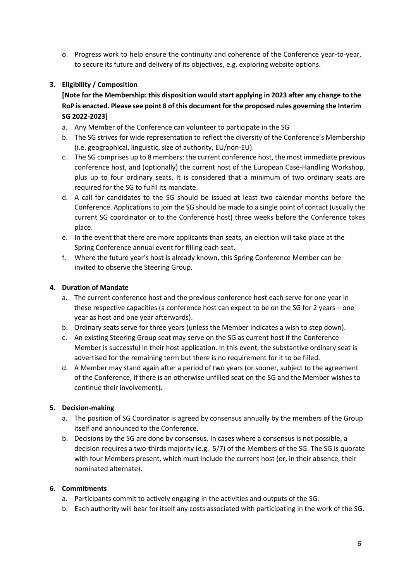o. Progress work to help ensure the continuity and coherence of the Conference year-to-year, to secure its future and delivery of its objectives, e.g. exploring website options.

# **3. Eligibility / Composition**

**[Note for the Membership: this disposition would start applying in 2023 after any change to the RoP is enacted. Please see point 8 of this document for the proposed rules governing the Interim SG 2022-2023]**

- a. Any Member of the Conference can volunteer to participate in the SG
- b. The SG strives for wide representation to reflect the diversity of the Conference's Membership (i.e. geographical, linguistic, size of authority, EU/non-EU).
- c. The SG comprises up to 8 members: the current conference host, the most immediate previous conference host, and (optionally) the current host of the European Case-Handling Workshop, plus up to four ordinary seats. It is considered that a minimum of two ordinary seats are required for the SG to fulfil its mandate.
- d. A call for candidates to the SG should be issued at least two calendar months before the Conference. Applications to join the SG should be made to a single point of contact (usually the current SG coordinator or to the Conference host) three weeks before the Conference takes place.
- e. In the event that there are more applicants than seats, an election will take place at the Spring Conference annual event for filling each seat.
- f. Where the future year's host is already known, this Spring Conference Member can be invited to observe the Steering Group.

## **4. Duration of Mandate**

- a. The current conference host and the previous conference host each serve for one year in these respective capacities (a conference host can expect to be on the SG for 2 years – one year as host and one year afterwards).
- b. Ordinary seats serve for three years (unless the Member indicates a wish to step down).
- c. An existing Steering Group seat may serve on the SG as current host if the Conference Member is successful in their host application. In this event, the substantive ordinary seat is advertised for the remaining term but there is no requirement for it to be filled.
- d. A Member may stand again after a period of two years (or sooner, subject to the agreement of the Conference, if there is an otherwise unfilled seat on the SG and the Member wishes to continue their involvement).

## **5. Decision-making**

- a. The position of SG Coordinator is agreed by consensus annually by the members of the Group itself and announced to the Conference.
- b. Decisions by the SG are done by consensus. In cases where a consensus is not possible, a decision requires a two-thirds majority (e.g. 5/7) of the Members of the SG. The SG is quorate with four Members present, which must include the current host (or, in their absence, their nominated alternate).

# **6. Commitments**

- a. Participants commit to actively engaging in the activities and outputs of the SG.
- b. Each authority will bear for itself any costs associated with participating in the work of the SG.